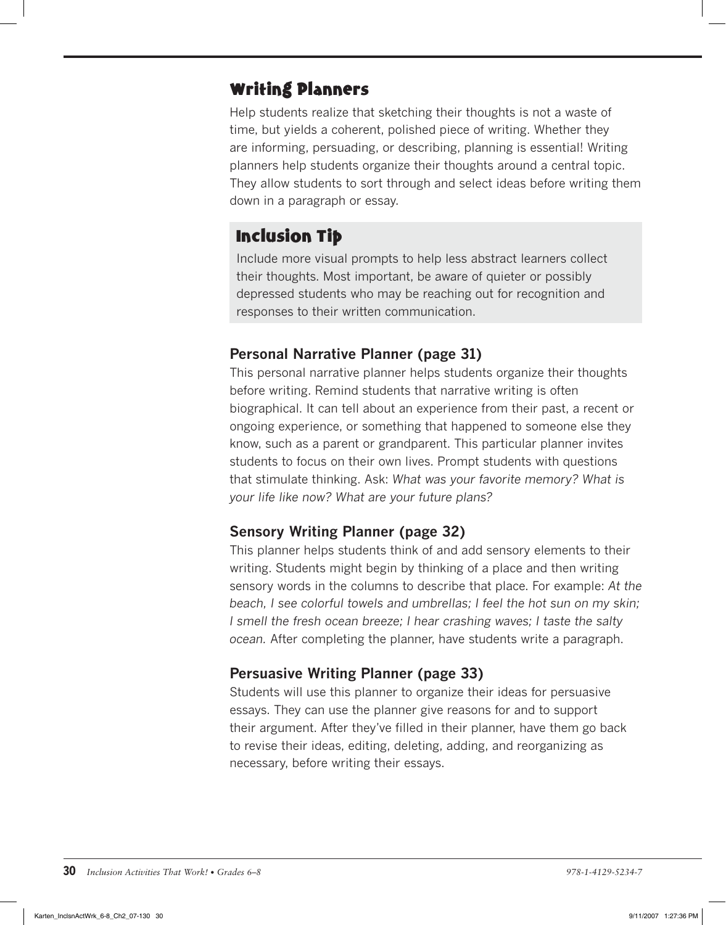#### Writing Planners

Help students realize that sketching their thoughts is not a waste of time, but yields a coherent, polished piece of writing. Whether they are informing, persuading, or describing, planning is essential! Writing planners help students organize their thoughts around a central topic. They allow students to sort through and select ideas before writing them down in a paragraph or essay.

### Inclusion Tip

Include more visual prompts to help less abstract learners collect their thoughts. Most important, be aware of quieter or possibly depressed students who may be reaching out for recognition and responses to their written communication.

#### **Personal Narrative Planner (page 31)**

This personal narrative planner helps students organize their thoughts before writing. Remind students that narrative writing is often biographical. It can tell about an experience from their past, a recent or ongoing experience, or something that happened to someone else they know, such as a parent or grandparent. This particular planner invites students to focus on their own lives. Prompt students with questions that stimulate thinking. Ask: *What was your favorite memory? What is your life like now? What are your future plans?*

#### **Sensory Writing Planner (page 32)**

This planner helps students think of and add sensory elements to their writing. Students might begin by thinking of a place and then writing sensory words in the columns to describe that place. For example: *At the beach, I see colorful towels and umbrellas; I feel the hot sun on my skin; I smell the fresh ocean breeze; I hear crashing waves; I taste the salty ocean.* After completing the planner, have students write a paragraph.

#### **Persuasive Writing Planner (page 33)**

Students will use this planner to organize their ideas for persuasive essays. They can use the planner give reasons for and to support their argument. After they've filled in their planner, have them go back to revise their ideas, editing, deleting, adding, and reorganizing as necessary, before writing their essays.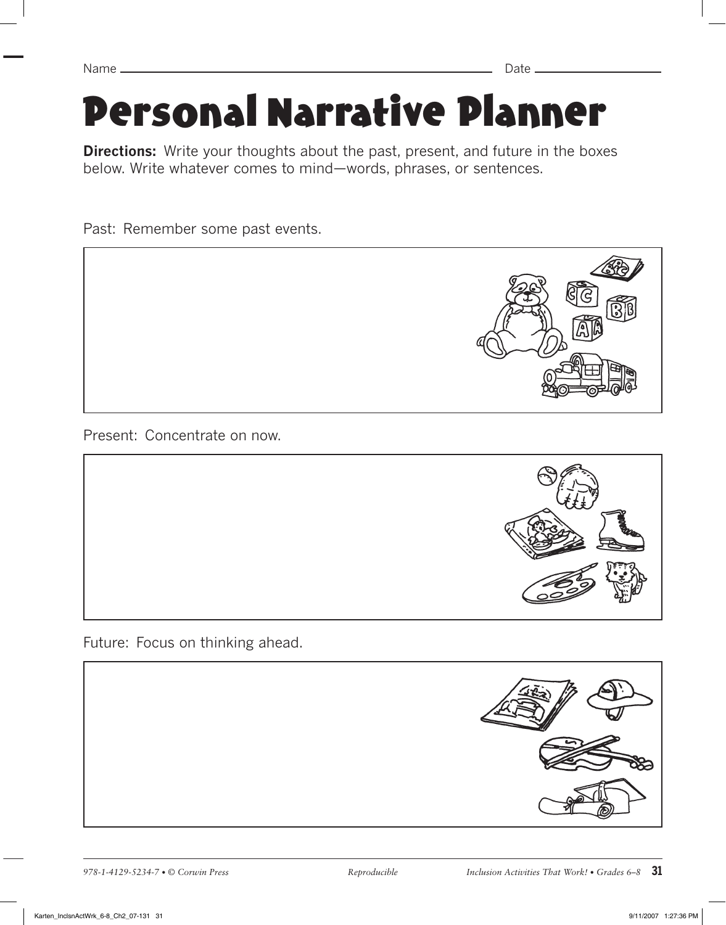## Personal Narrative Planner

**Directions:** Write your thoughts about the past, present, and future in the boxes below. Write whatever comes to mind—words, phrases, or sentences.

Past: Remember some past events.





Future: Focus on thinking ahead.